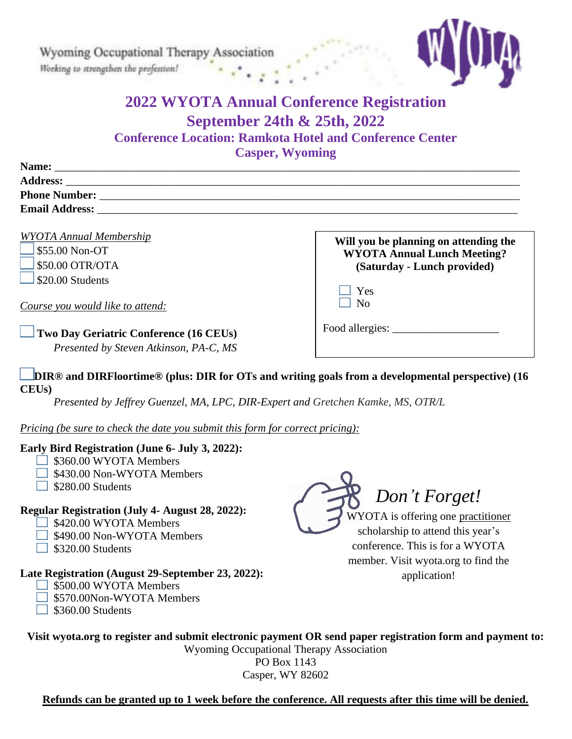Wyoming Occupational Therapy Association Working to strengthen the profession!



# **2022 WYOTA Annual Conference Registration September 24th & 25th, 2022 Conference Location: Ramkota Hotel and Conference Center**

**Casper, Wyoming** 

| Name:                 |
|-----------------------|
| <b>Address:</b>       |
| <b>Phone Number:</b>  |
| <b>Email Address:</b> |

*WYOTA Annual Membership* 

\$55.00 Non-OT \$50.00 OTR/OTA \$20.00 Students

*Course you would like to attend:*

### **Two Day Geriatric Conference (16 CEUs)**

*Presented by Steven Atkinson, PA-C, MS*

#### **DIR® and DIRFloortime® (plus: DIR for OTs and writing goals from a developmental perspective) (16 CEUs)**

*Presented by Jeffrey Guenzel, MA, LPC, DIR-Expert and Gretchen Kamke, MS, OTR/L*

*Pricing (be sure to check the date you submit this form for correct pricing):*

#### **Early Bird Registration (June 6- July 3, 2022):**

- $\Box$  \$360.00 WYOTA Members
- $\Box$  \$430.00 Non-WYOTA Members
- $\Box$  \$280.00 Students

## **Regular Registration (July 4- August 28, 2022):**

- $\Box$  \$420.00 WYOTA Members
- $\Box$  \$490.00 Non-WYOTA Members
- $\Box$  \$320.00 Students

## **Late Registration (August 29-September 23, 2022):**

- 5500.00 WYOTA Members
- S570.00Non-WYOTA Members
- $\Box$  \$360.00 Students



Yes  $\overline{\phantom{a}}$  No

Food allergies:

conference. This is for a WYOTA member. Visit wyota.org to find the application!

**Will you be planning on attending the WYOTA Annual Lunch Meeting? (Saturday - Lunch provided)**

**Visit wyota.org to register and submit electronic payment OR send paper registration form and payment to:**  Wyoming Occupational Therapy Association

PO Box 1143 Casper, WY 82602

**Refunds can be granted up to 1 week before the conference. All requests after this time will be denied.**